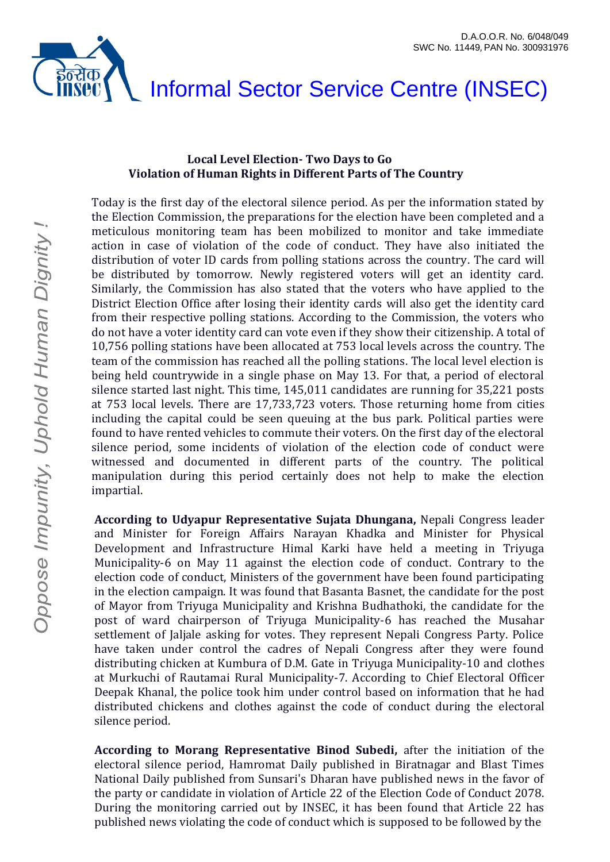

## **Local Level Election- Two Days to Go Violation of Human Rights in Different Parts of The Country**

Today is the first day of the electoral silence period. As per the information stated by the Election Commission, the preparations for the election have been completed and a meticulous monitoring team has been mobilized to monitor and take immediate action in case of violation of the code of conduct. They have also initiated the distribution of voter ID cards from polling stations across the country. The card will be distributed by tomorrow. Newly registered voters will get an identity card. Similarly, the Commission has also stated that the voters who have applied to the District Election Office after losing their identity cards will also get the identity card from their respective polling stations. According to the Commission, the voters who do not have a voter identity card can vote even if they show their citizenship. A total of 10,756 polling stations have been allocated at 753 local levels across the country. The team of the commission has reached all the polling stations. The local level election is being held countrywide in a single phase on May 13. For that, a period of electoral silence started last night. This time, 145,011 candidates are running for 35,221 posts at 753 local levels. There are 17,733,723 voters. Those returning home from cities including the capital could be seen queuing at the bus park. Political parties were found to have rented vehicles to commute their voters. On the first day of the electoral silence period, some incidents of violation of the election code of conduct were witnessed and documented in different parts of the country. The political manipulation during this period certainly does not help to make the election impartial.

**According to Udyapur Representative Sujata Dhungana,** Nepali Congress leader and Minister for Foreign Affairs Narayan Khadka and Minister for Physical Development and Infrastructure Himal Karki have held a meeting in Triyuga Municipality-6 on May 11 against the election code of conduct. Contrary to the election code of conduct, Ministers of the government have been found participating in the election campaign. It was found that Basanta Basnet, the candidate for the post of Mayor from Triyuga Municipality and Krishna Budhathoki, the candidate for the post of ward chairperson of Triyuga Municipality-6 has reached the Musahar settlement of Jaljale asking for votes. They represent Nepali Congress Party. Police have taken under control the cadres of Nepali Congress after they were found distributing chicken at Kumbura of D.M. Gate in Triyuga Municipality-10 and clothes at Murkuchi of Rautamai Rural Municipality-7. According to Chief Electoral Officer Deepak Khanal, the police took him under control based on information that he had distributed chickens and clothes against the code of conduct during the electoral silence period.

**According to Morang Representative Binod Subedi,** after the initiation of the electoral silence period, Hamromat Daily published in Biratnagar and Blast Times National Daily published from Sunsari's Dharan have published news in the favor of the party or candidate in violation of Article 22 of the Election Code of Conduct 2078. During the monitoring carried out by INSEC, it has been found that Article 22 has published news violating the code of conduct which is supposed to be followed by the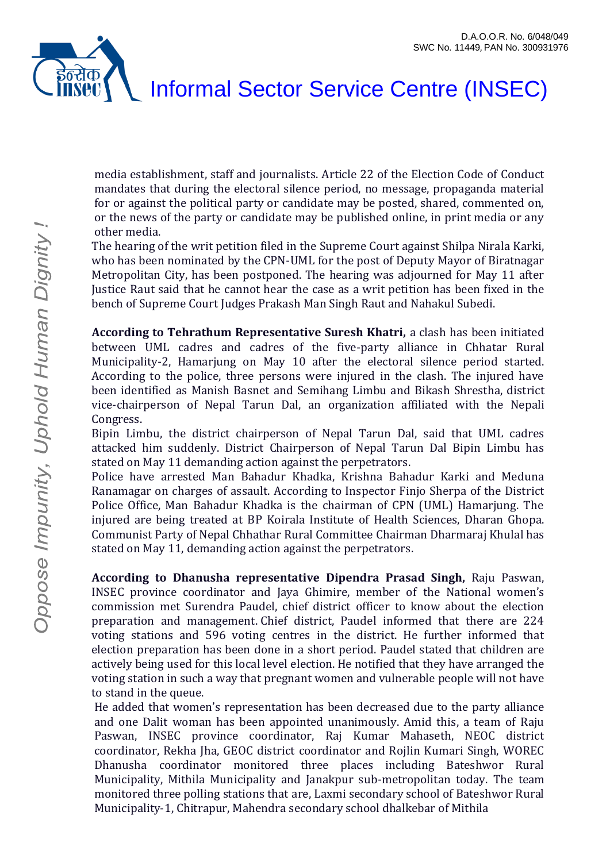



media establishment, staff and journalists. Article 22 of the Election Code of Conduct mandates that during the electoral silence period, no message, propaganda material for or against the political party or candidate may be posted, shared, commented on, or the news of the party or candidate may be published online, in print media or any other media.

The hearing of the writ petition filed in the Supreme Court against Shilpa Nirala Karki, who has been nominated by the CPN-UML for the post of Deputy Mayor of Biratnagar Metropolitan City, has been postponed. The hearing was adjourned for May 11 after Justice Raut said that he cannot hear the case as a writ petition has been fixed in the bench of Supreme Court Judges Prakash Man Singh Raut and Nahakul Subedi.

**According to Tehrathum Representative Suresh Khatri,** a clash has been initiated between UML cadres and cadres of the five-party alliance in Chhatar Rural Municipality-2, Hamarjung on May 10 after the electoral silence period started. According to the police, three persons were injured in the clash. The injured have been identified as Manish Basnet and Semihang Limbu and Bikash Shrestha, district vice-chairperson of Nepal Tarun Dal, an organization affiliated with the Nepali Congress.

Bipin Limbu, the district chairperson of Nepal Tarun Dal, said that UML cadres attacked him suddenly. District Chairperson of Nepal Tarun Dal Bipin Limbu has stated on May 11 demanding action against the perpetrators.

Police have arrested Man Bahadur Khadka, Krishna Bahadur Karki and Meduna Ranamagar on charges of assault. According to Inspector Finjo Sherpa of the District Police Office, Man Bahadur Khadka is the chairman of CPN (UML) Hamarjung. The injured are being treated at BP Koirala Institute of Health Sciences, Dharan Ghopa. Communist Party of Nepal Chhathar Rural Committee Chairman Dharmaraj Khulal has stated on May 11, demanding action against the perpetrators.

**According to Dhanusha representative Dipendra Prasad Singh,** Raju Paswan, INSEC province coordinator and Jaya Ghimire, member of the National women's commission met Surendra Paudel, chief district officer to know about the election preparation and management. Chief district, Paudel informed that there are 224 voting stations and 596 voting centres in the district. He further informed that election preparation has been done in a short period. Paudel stated that children are actively being used for this local level election. He notified that they have arranged the voting station in such a way that pregnant women and vulnerable people will not have to stand in the queue.

He added that women's representation has been decreased due to the party alliance and one Dalit woman has been appointed unanimously. Amid this, a team of Raju Paswan, INSEC province coordinator, Raj Kumar Mahaseth, NEOC district coordinator, Rekha Jha, GEOC district coordinator and Rojlin Kumari Singh, WOREC Dhanusha coordinator monitored three places including Bateshwor Rural Municipality, Mithila Municipality and Janakpur sub-metropolitan today. The team monitored three polling stations that are, Laxmi secondary school of Bateshwor Rural Municipality-1, Chitrapur, Mahendra secondary school dhalkebar of Mithila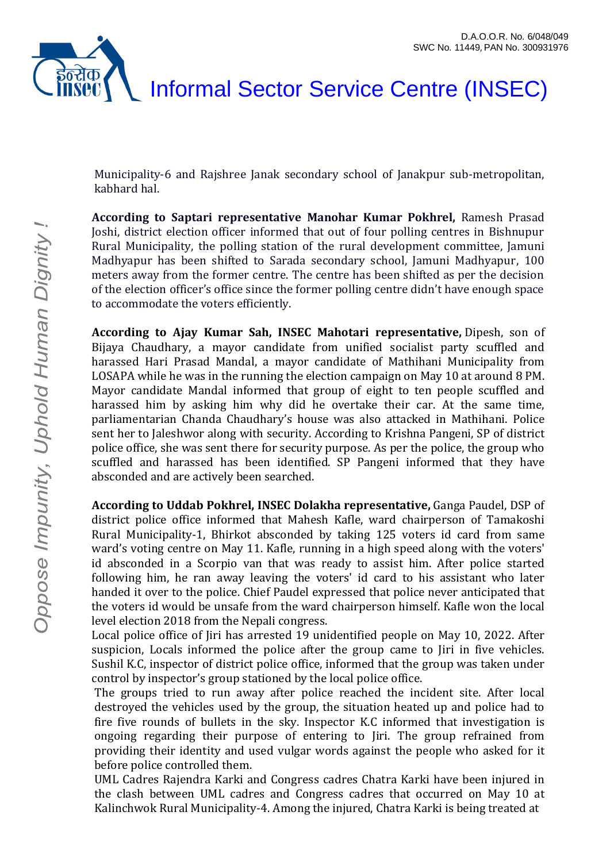



Municipality-6 and Rajshree Janak secondary school of Janakpur sub-metropolitan, kabhard hal.

**According to Saptari representative Manohar Kumar Pokhrel,** Ramesh Prasad Joshi, district election officer informed that out of four polling centres in Bishnupur Rural Municipality, the polling station of the rural development committee, Jamuni Madhyapur has been shifted to Sarada secondary school, Jamuni Madhyapur, 100 meters away from the former centre. The centre has been shifted as per the decision of the election officer's office since the former polling centre didn't have enough space to accommodate the voters efficiently.

**According to Ajay Kumar Sah, INSEC Mahotari representative,** Dipesh, son of Bijaya Chaudhary, a mayor candidate from unified socialist party scuffled and harassed Hari Prasad Mandal, a mayor candidate of Mathihani Municipality from LOSAPA while he was in the running the election campaign on May 10 at around 8 PM. Mayor candidate Mandal informed that group of eight to ten people scuffled and harassed him by asking him why did he overtake their car. At the same time, parliamentarian Chanda Chaudhary's house was also attacked in Mathihani. Police sent her to Jaleshwor along with security. According to Krishna Pangeni, SP of district police office, she was sent there for security purpose. As per the police, the group who scuffled and harassed has been identified. SP Pangeni informed that they have absconded and are actively been searched.

**According to Uddab Pokhrel, INSEC Dolakha representative,** Ganga Paudel, DSP of district police office informed that Mahesh Kafle, ward chairperson of Tamakoshi Rural Municipality-1, Bhirkot absconded by taking 125 voters id card from same ward's voting centre on May 11. Kafle, running in a high speed along with the voters' id absconded in a Scorpio van that was ready to assist him. After police started following him, he ran away leaving the voters' id card to his assistant who later handed it over to the police. Chief Paudel expressed that police never anticipated that the voters id would be unsafe from the ward chairperson himself. Kafle won the local level election 2018 from the Nepali congress.

Local police office of Jiri has arrested 19 unidentified people on May 10, 2022. After suspicion, Locals informed the police after the group came to Jiri in five vehicles. Sushil K.C, inspector of district police office, informed that the group was taken under control by inspector's group stationed by the local police office.

The groups tried to run away after police reached the incident site. After local destroyed the vehicles used by the group, the situation heated up and police had to fire five rounds of bullets in the sky. Inspector K.C informed that investigation is ongoing regarding their purpose of entering to Jiri. The group refrained from providing their identity and used vulgar words against the people who asked for it before police controlled them.

UML Cadres Rajendra Karki and Congress cadres Chatra Karki have been injured in the clash between UML cadres and Congress cadres that occurred on May 10 at Kalinchwok Rural Municipality-4. Among the injured, Chatra Karki is being treated at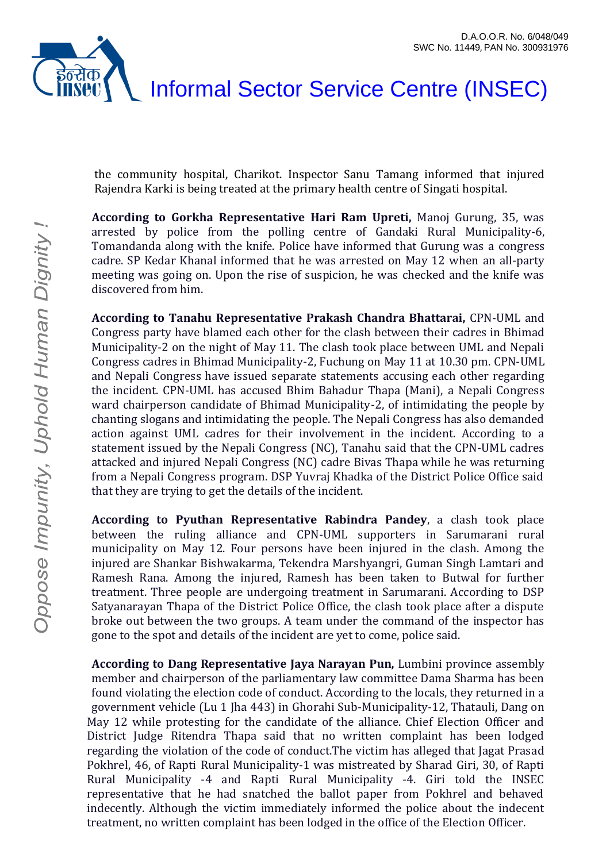



the community hospital, Charikot. Inspector Sanu Tamang informed that injured Rajendra Karki is being treated at the primary health centre of Singati hospital.

**According to Gorkha Representative Hari Ram Upreti,** Manoj Gurung, 35, was arrested by police from the polling centre of Gandaki Rural Municipality-6, Tomandanda along with the knife. Police have informed that Gurung was a congress cadre. SP Kedar Khanal informed that he was arrested on May 12 when an all-party meeting was going on. Upon the rise of suspicion, he was checked and the knife was discovered from him.

**According to Tanahu Representative Prakash Chandra Bhattarai,** CPN-UML and Congress party have blamed each other for the clash between their cadres in Bhimad Municipality-2 on the night of May 11. The clash took place between UML and Nepali Congress cadres in Bhimad Municipality-2, Fuchung on May 11 at 10.30 pm. CPN-UML and Nepali Congress have issued separate statements accusing each other regarding the incident. CPN-UML has accused Bhim Bahadur Thapa (Mani), a Nepali Congress ward chairperson candidate of Bhimad Municipality-2, of intimidating the people by chanting slogans and intimidating the people. The Nepali Congress has also demanded action against UML cadres for their involvement in the incident. According to a statement issued by the Nepali Congress (NC), Tanahu said that the CPN-UML cadres attacked and injured Nepali Congress (NC) cadre Bivas Thapa while he was returning from a Nepali Congress program. DSP Yuvraj Khadka of the District Police Office said that they are trying to get the details of the incident.

**According to Pyuthan Representative Rabindra Pandey**, a clash took place between the ruling alliance and CPN-UML supporters in Sarumarani rural municipality on May 12. Four persons have been injured in the clash. Among the injured are Shankar Bishwakarma, Tekendra Marshyangri, Guman Singh Lamtari and Ramesh Rana. Among the injured, Ramesh has been taken to Butwal for further treatment. Three people are undergoing treatment in Sarumarani. According to DSP Satyanarayan Thapa of the District Police Office, the clash took place after a dispute broke out between the two groups. A team under the command of the inspector has gone to the spot and details of the incident are yet to come, police said.

**According to Dang Representative Jaya Narayan Pun,** Lumbini province assembly member and chairperson of the parliamentary law committee Dama Sharma has been found violating the election code of conduct. According to the locals, they returned in a government vehicle (Lu 1 Jha 443) in Ghorahi Sub-Municipality-12, Thatauli, Dang on May 12 while protesting for the candidate of the alliance. Chief Election Officer and District Judge Ritendra Thapa said that no written complaint has been lodged regarding the violation of the code of conduct.The victim has alleged that Jagat Prasad Pokhrel, 46, of Rapti Rural Municipality-1 was mistreated by Sharad Giri, 30, of Rapti Rural Municipality -4 and Rapti Rural Municipality -4. Giri told the INSEC representative that he had snatched the ballot paper from Pokhrel and behaved indecently. Although the victim immediately informed the police about the indecent treatment, no written complaint has been lodged in the office of the Election Officer.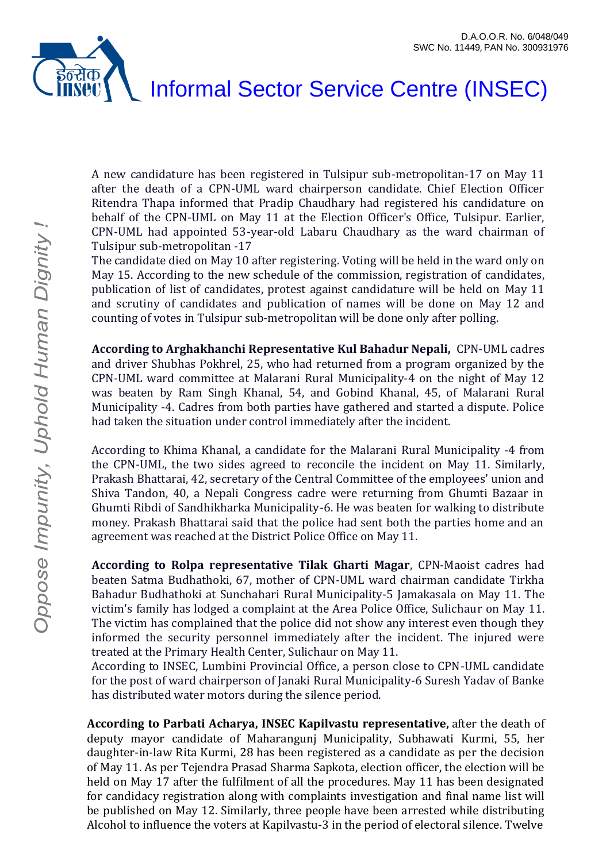

A new candidature has been registered in Tulsipur sub-metropolitan-17 on May 11 after the death of a CPN-UML ward chairperson candidate. Chief Election Officer Ritendra Thapa informed that Pradip Chaudhary had registered his candidature on behalf of the CPN-UML on May 11 at the Election Officer's Office, Tulsipur. Earlier, CPN-UML had appointed 53-year-old Labaru Chaudhary as the ward chairman of Tulsipur sub-metropolitan -17

The candidate died on May 10 after registering. Voting will be held in the ward only on May 15. According to the new schedule of the commission, registration of candidates, publication of list of candidates, protest against candidature will be held on May 11 and scrutiny of candidates and publication of names will be done on May 12 and counting of votes in Tulsipur sub-metropolitan will be done only after polling.

**According to Arghakhanchi Representative Kul Bahadur Nepali,** CPN-UML cadres and driver Shubhas Pokhrel, 25, who had returned from a program organized by the CPN-UML ward committee at Malarani Rural Municipality-4 on the night of May 12 was beaten by Ram Singh Khanal, 54, and Gobind Khanal, 45, of Malarani Rural Municipality -4. Cadres from both parties have gathered and started a dispute. Police had taken the situation under control immediately after the incident.

According to Khima Khanal, a candidate for the Malarani Rural Municipality -4 from the CPN-UML, the two sides agreed to reconcile the incident on May 11. Similarly, Prakash Bhattarai, 42, secretary of the Central Committee of the employees' union and Shiva Tandon, 40, a Nepali Congress cadre were returning from Ghumti Bazaar in Ghumti Ribdi of Sandhikharka Municipality-6. He was beaten for walking to distribute money. Prakash Bhattarai said that the police had sent both the parties home and an agreement was reached at the District Police Office on May 11.

**According to Rolpa representative Tilak Gharti Magar**, CPN-Maoist cadres had beaten Satma Budhathoki, 67, mother of CPN-UML ward chairman candidate Tirkha Bahadur Budhathoki at Sunchahari Rural Municipality-5 Jamakasala on May 11. The victim's family has lodged a complaint at the Area Police Office, Sulichaur on May 11. The victim has complained that the police did not show any interest even though they informed the security personnel immediately after the incident. The injured were treated at the Primary Health Center, Sulichaur on May 11.

According to INSEC, Lumbini Provincial Office, a person close to CPN-UML candidate for the post of ward chairperson of Janaki Rural Municipality-6 Suresh Yadav of Banke has distributed water motors during the silence period.

**According to Parbati Acharya, INSEC Kapilvastu representative,** after the death of deputy mayor candidate of Maharangunj Municipality, Subhawati Kurmi, 55, her daughter-in-law Rita Kurmi, 28 has been registered as a candidate as per the decision of May 11. As per Tejendra Prasad Sharma Sapkota, election officer, the election will be held on May 17 after the fulfilment of all the procedures. May 11 has been designated for candidacy registration along with complaints investigation and final name list will be published on May 12. Similarly, three people have been arrested while distributing Alcohol to influence the voters at Kapilvastu-3 in the period of electoral silence. Twelve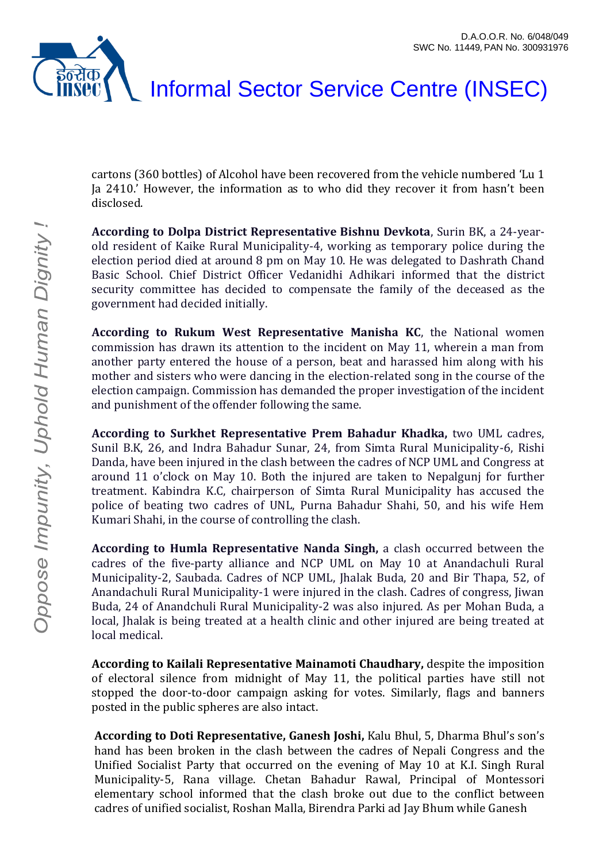

cartons (360 bottles) of Alcohol have been recovered from the vehicle numbered 'Lu 1 Ja 2410.' However, the information as to who did they recover it from hasn't been disclosed.

**According to Dolpa District Representative Bishnu Devkota**, Surin BK, a 24-yearold resident of Kaike Rural Municipality-4, working as temporary police during the election period died at around 8 pm on May 10. He was delegated to Dashrath Chand Basic School. Chief District Officer Vedanidhi Adhikari informed that the district security committee has decided to compensate the family of the deceased as the government had decided initially.

**According to Rukum West Representative Manisha KC**, the National women commission has drawn its attention to the incident on May 11, wherein a man from another party entered the house of a person, beat and harassed him along with his mother and sisters who were dancing in the election-related song in the course of the election campaign. Commission has demanded the proper investigation of the incident and punishment of the offender following the same.

**According to Surkhet Representative Prem Bahadur Khadka,** two UML cadres, Sunil B.K, 26, and Indra Bahadur Sunar, 24, from Simta Rural Municipality-6, Rishi Danda, have been injured in the clash between the cadres of NCP UML and Congress at around 11 o'clock on May 10. Both the injured are taken to Nepalgunj for further treatment. Kabindra K.C, chairperson of Simta Rural Municipality has accused the police of beating two cadres of UNL, Purna Bahadur Shahi, 50, and his wife Hem Kumari Shahi, in the course of controlling the clash.

**According to Humla Representative Nanda Singh,** a clash occurred between the cadres of the five-party alliance and NCP UML on May 10 at Anandachuli Rural Municipality-2, Saubada. Cadres of NCP UML, Jhalak Buda, 20 and Bir Thapa, 52, of Anandachuli Rural Municipality-1 were injured in the clash. Cadres of congress, Jiwan Buda, 24 of Anandchuli Rural Municipality-2 was also injured. As per Mohan Buda, a local, Jhalak is being treated at a health clinic and other injured are being treated at local medical.

**According to Kailali Representative Mainamoti Chaudhary,** despite the imposition of electoral silence from midnight of May 11, the political parties have still not stopped the door-to-door campaign asking for votes. Similarly, flags and banners posted in the public spheres are also intact.

**According to Doti Representative, Ganesh Joshi,** Kalu Bhul, 5, Dharma Bhul's son's hand has been broken in the clash between the cadres of Nepali Congress and the Unified Socialist Party that occurred on the evening of May 10 at K.I. Singh Rural Municipality-5, Rana village. Chetan Bahadur Rawal, Principal of Montessori elementary school informed that the clash broke out due to the conflict between cadres of unified socialist, Roshan Malla, Birendra Parki ad Jay Bhum while Ganesh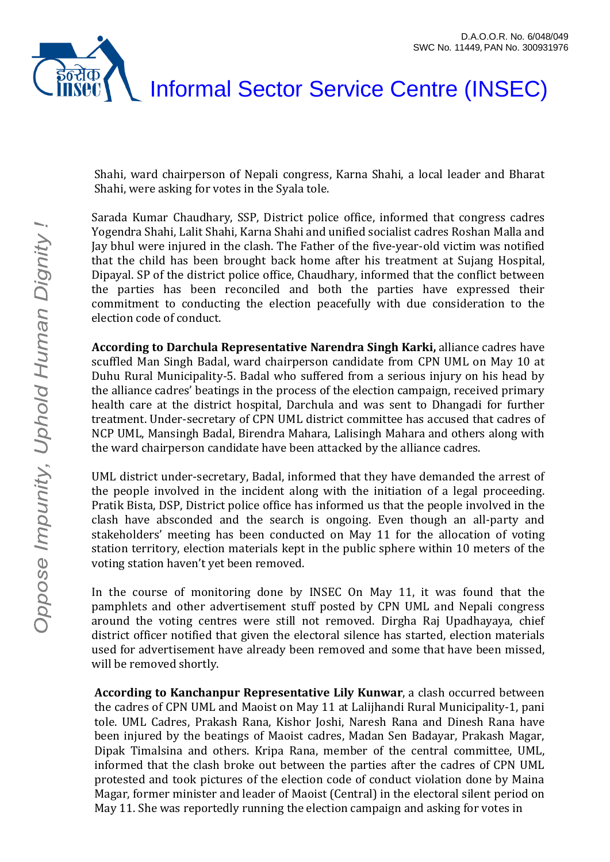

## Informal Sector Service Centre (INSEC)

Shahi, ward chairperson of Nepali congress, Karna Shahi, a local leader and Bharat Shahi, were asking for votes in the Syala tole.

Sarada Kumar Chaudhary, SSP, District police office, informed that congress cadres Yogendra Shahi, Lalit Shahi, Karna Shahi and unified socialist cadres Roshan Malla and Jay bhul were injured in the clash. The Father of the five-year-old victim was notified that the child has been brought back home after his treatment at Sujang Hospital, Dipayal. SP of the district police office, Chaudhary, informed that the conflict between the parties has been reconciled and both the parties have expressed their commitment to conducting the election peacefully with due consideration to the election code of conduct.

**According to Darchula Representative Narendra Singh Karki,** alliance cadres have scuffled Man Singh Badal, ward chairperson candidate from CPN UML on May 10 at Duhu Rural Municipality-5. Badal who suffered from a serious injury on his head by the alliance cadres' beatings in the process of the election campaign, received primary health care at the district hospital, Darchula and was sent to Dhangadi for further treatment. Under-secretary of CPN UML district committee has accused that cadres of NCP UML, Mansingh Badal, Birendra Mahara, Lalisingh Mahara and others along with the ward chairperson candidate have been attacked by the alliance cadres.

UML district under-secretary, Badal, informed that they have demanded the arrest of the people involved in the incident along with the initiation of a legal proceeding. Pratik Bista, DSP, District police office has informed us that the people involved in the clash have absconded and the search is ongoing. Even though an all-party and stakeholders' meeting has been conducted on May 11 for the allocation of voting station territory, election materials kept in the public sphere within 10 meters of the voting station haven't yet been removed.

In the course of monitoring done by INSEC On May 11, it was found that the pamphlets and other advertisement stuff posted by CPN UML and Nepali congress around the voting centres were still not removed. Dirgha Raj Upadhayaya, chief district officer notified that given the electoral silence has started, election materials used for advertisement have already been removed and some that have been missed, will be removed shortly.

**According to Kanchanpur Representative Lily Kunwar**, a clash occurred between the cadres of CPN UML and Maoist on May 11 at Lalijhandi Rural Municipality-1, pani tole. UML Cadres, Prakash Rana, Kishor Joshi, Naresh Rana and Dinesh Rana have been injured by the beatings of Maoist cadres, Madan Sen Badayar, Prakash Magar, Dipak Timalsina and others. Kripa Rana, member of the central committee, UML, informed that the clash broke out between the parties after the cadres of CPN UML protested and took pictures of the election code of conduct violation done by Maina Magar, former minister and leader of Maoist (Central) in the electoral silent period on May 11. She was reportedly running the election campaign and asking for votes in